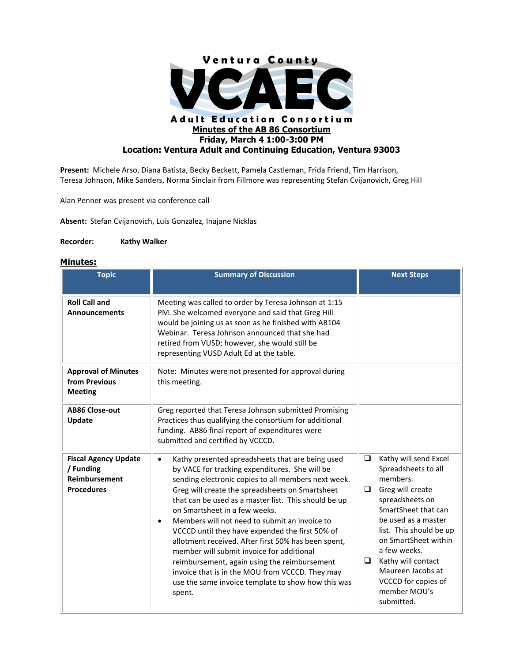

**Present:** Michele Arso, Diana Batista, Becky Beckett, Pamela Castleman, Frida Friend, Tim Harrison, Teresa Johnson, Mike Sanders, Norma Sinclair from Fillmore was representing Stefan Cvijanovich, Greg Hill

Alan Penner was present via conference call

**Absent:** Stefan Cvijanovich, Luis Gonzalez, Inajane Nicklas

## **Recorder: Kathy Walker**

## **Minutes:**

| <b>Topic</b>                                                                   | <b>Summary of Discussion</b>                                                                                                                                                                                                                                                                                                                                                                                                                                                                                                                                                                                                                                                                               | <b>Next Steps</b>                                                                                                                                                                                                                                                                                                                    |
|--------------------------------------------------------------------------------|------------------------------------------------------------------------------------------------------------------------------------------------------------------------------------------------------------------------------------------------------------------------------------------------------------------------------------------------------------------------------------------------------------------------------------------------------------------------------------------------------------------------------------------------------------------------------------------------------------------------------------------------------------------------------------------------------------|--------------------------------------------------------------------------------------------------------------------------------------------------------------------------------------------------------------------------------------------------------------------------------------------------------------------------------------|
| <b>Roll Call and</b><br><b>Announcements</b>                                   | Meeting was called to order by Teresa Johnson at 1:15<br>PM. She welcomed everyone and said that Greg Hill<br>would be joining us as soon as he finished with AB104<br>Webinar. Teresa Johnson announced that she had<br>retired from VUSD; however, she would still be<br>representing VUSD Adult Ed at the table.                                                                                                                                                                                                                                                                                                                                                                                        |                                                                                                                                                                                                                                                                                                                                      |
| <b>Approval of Minutes</b><br>from Previous<br><b>Meeting</b>                  | Note: Minutes were not presented for approval during<br>this meeting.                                                                                                                                                                                                                                                                                                                                                                                                                                                                                                                                                                                                                                      |                                                                                                                                                                                                                                                                                                                                      |
| <b>AB86 Close-out</b><br>Update                                                | Greg reported that Teresa Johnson submitted Promising<br>Practices thus qualifying the consortium for additional<br>funding. AB86 final report of expenditures were<br>submitted and certified by VCCCD.                                                                                                                                                                                                                                                                                                                                                                                                                                                                                                   |                                                                                                                                                                                                                                                                                                                                      |
| <b>Fiscal Agency Update</b><br>/ Funding<br>Reimbursement<br><b>Procedures</b> | Kathy presented spreadsheets that are being used<br>$\bullet$<br>by VACE for tracking expenditures. She will be<br>sending electronic copies to all members next week.<br>Greg will create the spreadsheets on Smartsheet<br>that can be used as a master list. This should be up<br>on Smartsheet in a few weeks.<br>Members will not need to submit an invoice to<br>$\bullet$<br>VCCCD until they have expended the first 50% of<br>allotment received. After first 50% has been spent,<br>member will submit invoice for additional<br>reimbursement, again using the reimbursement<br>invoice that is in the MOU from VCCCD. They may<br>use the same invoice template to show how this was<br>spent. | $\Box$<br>Kathy will send Excel<br>Spreadsheets to all<br>members.<br>Greg will create<br>❏<br>spreadsheets on<br>SmartSheet that can<br>be used as a master<br>list. This should be up<br>on SmartSheet within<br>a few weeks.<br>Kathy will contact<br>❏<br>Maureen Jacobs at<br>VCCCD for copies of<br>member MOU's<br>submitted. |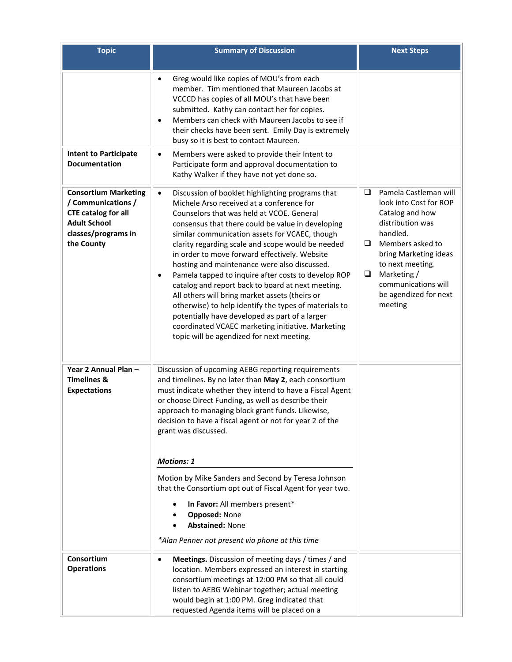| <b>Topic</b>                                                                                                                                | <b>Summary of Discussion</b>                                                                                                                                                                                                                                                                                                                                                                                                                                                                                                                                                                                                                                                                                                                                                                                 | <b>Next Steps</b>                                                                                                                                                                                                                                                      |
|---------------------------------------------------------------------------------------------------------------------------------------------|--------------------------------------------------------------------------------------------------------------------------------------------------------------------------------------------------------------------------------------------------------------------------------------------------------------------------------------------------------------------------------------------------------------------------------------------------------------------------------------------------------------------------------------------------------------------------------------------------------------------------------------------------------------------------------------------------------------------------------------------------------------------------------------------------------------|------------------------------------------------------------------------------------------------------------------------------------------------------------------------------------------------------------------------------------------------------------------------|
|                                                                                                                                             | Greg would like copies of MOU's from each<br>$\bullet$<br>member. Tim mentioned that Maureen Jacobs at<br>VCCCD has copies of all MOU's that have been<br>submitted. Kathy can contact her for copies.<br>Members can check with Maureen Jacobs to see if<br>$\bullet$<br>their checks have been sent. Emily Day is extremely<br>busy so it is best to contact Maureen.                                                                                                                                                                                                                                                                                                                                                                                                                                      |                                                                                                                                                                                                                                                                        |
| <b>Intent to Participate</b><br><b>Documentation</b>                                                                                        | Members were asked to provide their Intent to<br>$\bullet$<br>Participate form and approval documentation to<br>Kathy Walker if they have not yet done so.                                                                                                                                                                                                                                                                                                                                                                                                                                                                                                                                                                                                                                                   |                                                                                                                                                                                                                                                                        |
| <b>Consortium Marketing</b><br>/ Communications /<br><b>CTE catalog for all</b><br><b>Adult School</b><br>classes/programs in<br>the County | Discussion of booklet highlighting programs that<br>$\bullet$<br>Michele Arso received at a conference for<br>Counselors that was held at VCOE. General<br>consensus that there could be value in developing<br>similar communication assets for VCAEC, though<br>clarity regarding scale and scope would be needed<br>in order to move forward effectively. Website<br>hosting and maintenance were also discussed.<br>Pamela tapped to inquire after costs to develop ROP<br>$\bullet$<br>catalog and report back to board at next meeting.<br>All others will bring market assets (theirs or<br>otherwise) to help identify the types of materials to<br>potentially have developed as part of a larger<br>coordinated VCAEC marketing initiative. Marketing<br>topic will be agendized for next meeting. | $\Box$<br>Pamela Castleman will<br>look into Cost for ROP<br>Catalog and how<br>distribution was<br>handled.<br>Members asked to<br>◻<br>bring Marketing ideas<br>to next meeting.<br>$\Box$<br>Marketing /<br>communications will<br>be agendized for next<br>meeting |
| Year 2 Annual Plan -<br><b>Timelines &amp;</b><br><b>Expectations</b>                                                                       | Discussion of upcoming AEBG reporting requirements<br>and timelines. By no later than May 2, each consortium<br>must indicate whether they intend to have a Fiscal Agent<br>or choose Direct Funding, as well as describe their<br>approach to managing block grant funds. Likewise,<br>decision to have a fiscal agent or not for year 2 of the<br>grant was discussed.<br><b>Motions: 1</b>                                                                                                                                                                                                                                                                                                                                                                                                                |                                                                                                                                                                                                                                                                        |
|                                                                                                                                             | Motion by Mike Sanders and Second by Teresa Johnson<br>that the Consortium opt out of Fiscal Agent for year two.<br>In Favor: All members present*<br>Opposed: None<br><b>Abstained: None</b><br>*Alan Penner not present via phone at this time                                                                                                                                                                                                                                                                                                                                                                                                                                                                                                                                                             |                                                                                                                                                                                                                                                                        |
| Consortium<br><b>Operations</b>                                                                                                             | Meetings. Discussion of meeting days / times / and<br>$\bullet$<br>location. Members expressed an interest in starting<br>consortium meetings at 12:00 PM so that all could<br>listen to AEBG Webinar together; actual meeting<br>would begin at 1:00 PM. Greg indicated that<br>requested Agenda items will be placed on a                                                                                                                                                                                                                                                                                                                                                                                                                                                                                  |                                                                                                                                                                                                                                                                        |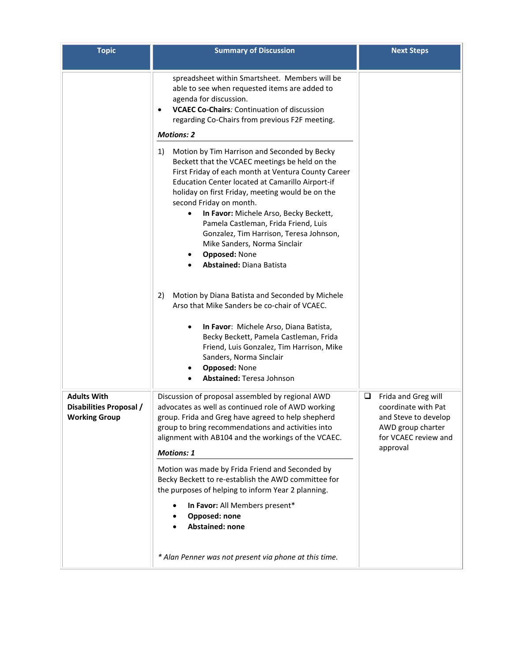| <b>Topic</b>                                                          | <b>Summary of Discussion</b>                                                                                                                                                                                                                                                                                                                                                                                                                                          | <b>Next Steps</b>                                                                                                                |
|-----------------------------------------------------------------------|-----------------------------------------------------------------------------------------------------------------------------------------------------------------------------------------------------------------------------------------------------------------------------------------------------------------------------------------------------------------------------------------------------------------------------------------------------------------------|----------------------------------------------------------------------------------------------------------------------------------|
|                                                                       | spreadsheet within Smartsheet. Members will be<br>able to see when requested items are added to<br>agenda for discussion.<br><b>VCAEC Co-Chairs: Continuation of discussion</b><br>$\bullet$<br>regarding Co-Chairs from previous F2F meeting.<br><b>Motions: 2</b><br>Motion by Tim Harrison and Seconded by Becky<br>1)                                                                                                                                             |                                                                                                                                  |
|                                                                       | Beckett that the VCAEC meetings be held on the<br>First Friday of each month at Ventura County Career<br>Education Center located at Camarillo Airport-if<br>holiday on first Friday, meeting would be on the<br>second Friday on month.<br>In Favor: Michele Arso, Becky Beckett,<br>Pamela Castleman, Frida Friend, Luis<br>Gonzalez, Tim Harrison, Teresa Johnson,<br>Mike Sanders, Norma Sinclair<br><b>Opposed: None</b><br>٠<br><b>Abstained: Diana Batista</b> |                                                                                                                                  |
|                                                                       | Motion by Diana Batista and Seconded by Michele<br>2)<br>Arso that Mike Sanders be co-chair of VCAEC.<br>In Favor: Michele Arso, Diana Batista,<br>$\bullet$<br>Becky Beckett, Pamela Castleman, Frida<br>Friend, Luis Gonzalez, Tim Harrison, Mike<br>Sanders, Norma Sinclair<br>Opposed: None<br>Abstained: Teresa Johnson                                                                                                                                          |                                                                                                                                  |
| <b>Adults With</b><br>Disabilities Proposal /<br><b>Working Group</b> | Discussion of proposal assembled by regional AWD<br>advocates as well as continued role of AWD working<br>group. Frida and Greg have agreed to help shepherd<br>group to bring recommendations and activities into<br>alignment with AB104 and the workings of the VCAEC.                                                                                                                                                                                             | □<br>Frida and Greg will<br>coordinate with Pat<br>and Steve to develop<br>AWD group charter<br>for VCAEC review and<br>approval |
|                                                                       | <b>Motions: 1</b>                                                                                                                                                                                                                                                                                                                                                                                                                                                     |                                                                                                                                  |
|                                                                       | Motion was made by Frida Friend and Seconded by<br>Becky Beckett to re-establish the AWD committee for<br>the purposes of helping to inform Year 2 planning.                                                                                                                                                                                                                                                                                                          |                                                                                                                                  |
|                                                                       | In Favor: All Members present*<br>Opposed: none<br>Abstained: none                                                                                                                                                                                                                                                                                                                                                                                                    |                                                                                                                                  |
|                                                                       | * Alan Penner was not present via phone at this time.                                                                                                                                                                                                                                                                                                                                                                                                                 |                                                                                                                                  |